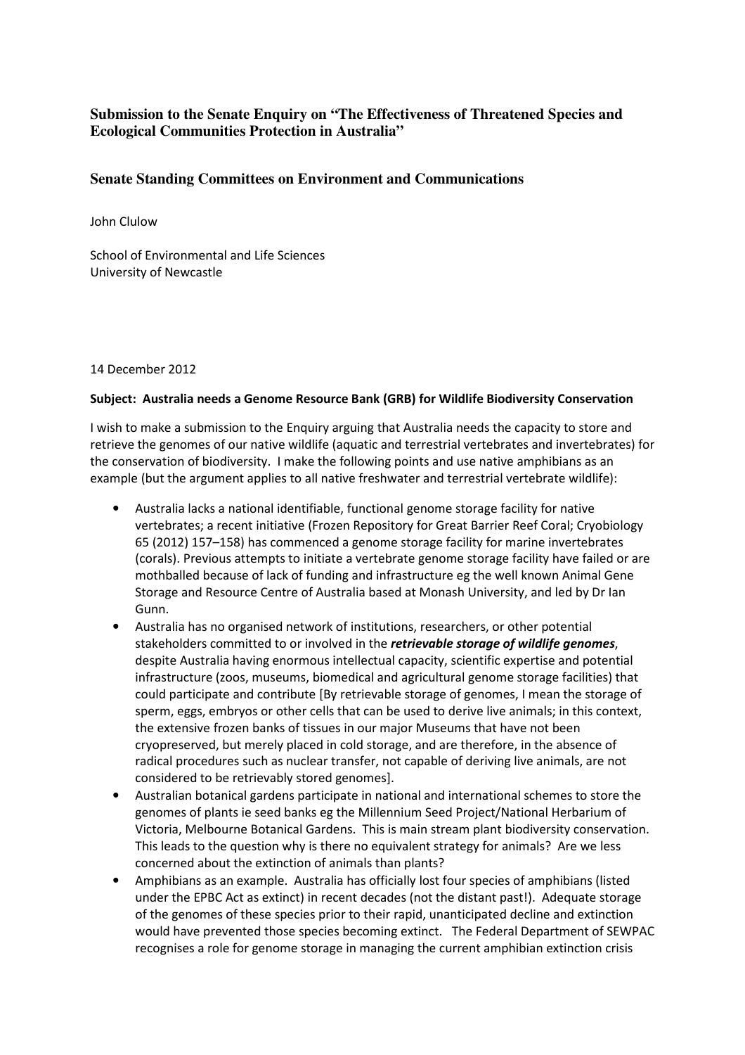## **Submission to the Senate Enquiry on "The Effectiveness of Threatened Species and Ecological Communities Protection in Australia"**

## **Senate Standing Committees on Environment and Communications**

John Clulow

School of Environmental and Life Sciences University of Newcastle

## 14 December 2012

## Subject: Australia needs a Genome Resource Bank (GRB) for Wildlife Biodiversity Conservation

I wish to make a submission to the Enquiry arguing that Australia needs the capacity to store and retrieve the genomes of our native wildlife (aquatic and terrestrial vertebrates and invertebrates) for the conservation of biodiversity. I make the following points and use native amphibians as an example (but the argument applies to all native freshwater and terrestrial vertebrate wildlife):

- Australia lacks a national identifiable, functional genome storage facility for native vertebrates; a recent initiative (Frozen Repository for Great Barrier Reef Coral; Cryobiology 65 (2012) 157–158) has commenced a genome storage facility for marine invertebrates (corals). Previous attempts to initiate a vertebrate genome storage facility have failed or are mothballed because of lack of funding and infrastructure eg the well known Animal Gene Storage and Resource Centre of Australia based at Monash University, and led by Dr Ian Gunn.
- Australia has no organised network of institutions, researchers, or other potential stakeholders committed to or involved in the retrievable storage of wildlife genomes, despite Australia having enormous intellectual capacity, scientific expertise and potential infrastructure (zoos, museums, biomedical and agricultural genome storage facilities) that could participate and contribute [By retrievable storage of genomes, I mean the storage of sperm, eggs, embryos or other cells that can be used to derive live animals; in this context, the extensive frozen banks of tissues in our major Museums that have not been cryopreserved, but merely placed in cold storage, and are therefore, in the absence of radical procedures such as nuclear transfer, not capable of deriving live animals, are not considered to be retrievably stored genomes].
- Australian botanical gardens participate in national and international schemes to store the genomes of plants ie seed banks eg the Millennium Seed Project/National Herbarium of Victoria, Melbourne Botanical Gardens. This is main stream plant biodiversity conservation. This leads to the question why is there no equivalent strategy for animals? Are we less concerned about the extinction of animals than plants?
- Amphibians as an example. Australia has officially lost four species of amphibians (listed under the EPBC Act as extinct) in recent decades (not the distant past!). Adequate storage of the genomes of these species prior to their rapid, unanticipated decline and extinction would have prevented those species becoming extinct. The Federal Department of SEWPAC recognises a role for genome storage in managing the current amphibian extinction crisis